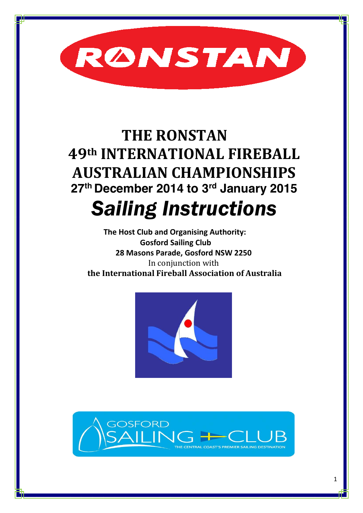

# **THE RONSTAN 49th INTERNATIONAL FIREBALL AUSTRALIAN CHAMPIONSHIPS 27th December 2014 to 3rd January 2015** *Sailing Instructions*

 **The Host Club and Organising Authority: Gosford Sailing Club 28 Masons Parade, Gosford NSW 2250** In conjunction with **the International Fireball Association of Australia**



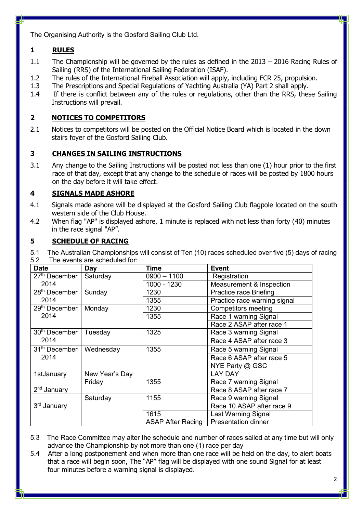The Organising Authority is the Gosford Sailing Club Ltd.

# **1 RULES**

- 1.1 The Championship will be governed by the rules as defined in the 2013 2016 Racing Rules of Sailing (RRS) of the International Sailing Federation (ISAF).
- 1.2 The rules of the International Fireball Association will apply, including FCR 25, propulsion.
- 1.3 The Prescriptions and Special Regulations of Yachting Australia (YA) Part 2 shall apply.
- 1.4 If there is conflict between any of the rules or regulations, other than the RRS, these Sailing Instructions will prevail.

# **2 NOTICES TO COMPETITORS**

2.1 Notices to competitors will be posted on the Official Notice Board which is located in the down stairs foyer of the Gosford Sailing Club.

## **3 CHANGES IN SAILING INSTRUCTIONS**

3.1 Any change to the Sailing Instructions will be posted not less than one (1) hour prior to the first race of that day, except that any change to the schedule of races will be posted by 1800 hours on the day before it will take effect.

#### **4 SIGNALS MADE ASHORE**

- 4.1 Signals made ashore will be displayed at the Gosford Sailing Club flagpole located on the south western side of the Club House.
- 4.2 When flag "AP" is displayed ashore, 1 minute is replaced with not less than forty (40) minutes in the race signal "AP".

#### **5 SCHEDULE OF RACING**

5.1 The Australian Championships will consist of Ten (10) races scheduled over five (5) days of racing 5.2 The events are scheduled for:

| <b>Date</b>               | Day            | Time                           | <b>Event</b>                 |  |
|---------------------------|----------------|--------------------------------|------------------------------|--|
| 27 <sup>th</sup> December | Saturday       | $0900 - 1100$                  | Registration                 |  |
| 2014                      |                | 1000 - 1230                    | Measurement & Inspection     |  |
| 28 <sup>th</sup> December | Sunday         | 1230<br>Practice race Briefing |                              |  |
| 2014                      |                | 1355                           | Practice race warning signal |  |
| 29 <sup>th</sup> December | Monday         | 1230                           | <b>Competitors meeting</b>   |  |
| 2014                      |                | 1355                           | Race 1 warning Signal        |  |
|                           |                |                                | Race 2 ASAP after race 1     |  |
| 30 <sup>th</sup> December | Tuesday        | 1325                           | Race 3 warning Signal        |  |
| 2014                      |                |                                | Race 4 ASAP after race 3     |  |
| 31 <sup>th</sup> December | Wednesday      | 1355                           | Race 5 warning Signal        |  |
| 2014                      |                |                                | Race 6 ASAP after race 5     |  |
|                           |                |                                | NYE Party @ GSC              |  |
| 1stJanuary                | New Year's Day |                                | <b>LAY DAY</b>               |  |
|                           | Friday         | 1355                           | Race 7 warning Signal        |  |
| 2 <sup>nd</sup> January   |                |                                | Race 8 ASAP after race 7     |  |
|                           | Saturday       | 1155                           | Race 9 warning Signal        |  |
| 3rd January               |                |                                | Race 10 ASAP after race 9    |  |
|                           |                | 1615                           | Last Warning Signal          |  |
|                           |                | <b>ASAP After Racing</b>       | <b>Presentation dinner</b>   |  |

5.3 The Race Committee may alter the schedule and number of races sailed at any time but will only advance the Championship by not more than one (1) race per day

5.4 After a long postponement and when more than one race will be held on the day, to alert boats that a race will begin soon, The "AP" flag will be displayed with one sound Signal for at least four minutes before a warning signal is displayed.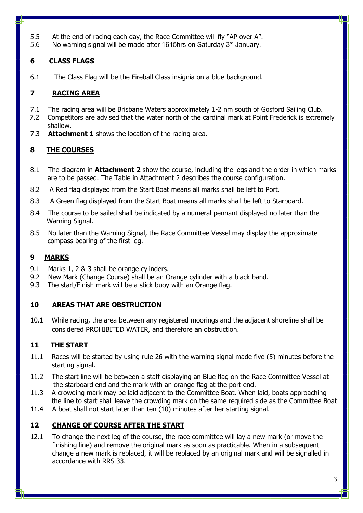- 5.5 At the end of racing each day, the Race Committee will fly "AP over A".
- 5.6 No warning signal will be made after 1615hrs on Saturday  $3<sup>rd</sup>$  January.

# **6 CLASS FLAGS**

6.1 The Class Flag will be the Fireball Class insignia on a blue background.

# **7 RACING AREA**

- 7.1 The racing area will be Brisbane Waters approximately 1-2 nm south of Gosford Sailing Club.
- 7.2 Competitors are advised that the water north of the cardinal mark at Point Frederick is extremely shallow.
- 7.3 **Attachment 1** shows the location of the racing area.

# **8 THE COURSES**

- 8.1 The diagram in **Attachment 2** show the course, including the legs and the order in which marks are to be passed. The Table in Attachment 2 describes the course configuration.
- 8.2 A Red flag displayed from the Start Boat means all marks shall be left to Port.
- 8.3 A Green flag displayed from the Start Boat means all marks shall be left to Starboard.
- 8.4 The course to be sailed shall be indicated by a numeral pennant displayed no later than the Warning Signal.
- 8.5 No later than the Warning Signal, the Race Committee Vessel may display the approximate compass bearing of the first leg.

# **9 MARKS**

- 9.1 Marks 1, 2 & 3 shall be orange cylinders.
- 9.2 New Mark (Change Course) shall be an Orange cylinder with a black band.
- 9.3 The start/Finish mark will be a stick buoy with an Orange flag.

#### **10 AREAS THAT ARE OBSTRUCTION**

10.1 While racing, the area between any registered moorings and the adjacent shoreline shall be considered PROHIBITED WATER, and therefore an obstruction.

# **11 THE START**

- 11.1 Races will be started by using rule 26 with the warning signal made five (5) minutes before the starting signal.
- 11.2 The start line will be between a staff displaying an Blue flag on the Race Committee Vessel at the starboard end and the mark with an orange flag at the port end.
- 11.3 A crowding mark may be laid adjacent to the Committee Boat. When laid, boats approaching the line to start shall leave the crowding mark on the same required side as the Committee Boat
- 11.4 A boat shall not start later than ten (10) minutes after her starting signal.

# **12 CHANGE OF COURSE AFTER THE START**

12.1 To change the next leg of the course, the race committee will lay a new mark (or move the finishing line) and remove the original mark as soon as practicable. When in a subsequent change a new mark is replaced, it will be replaced by an original mark and will be signalled in accordance with RRS 33.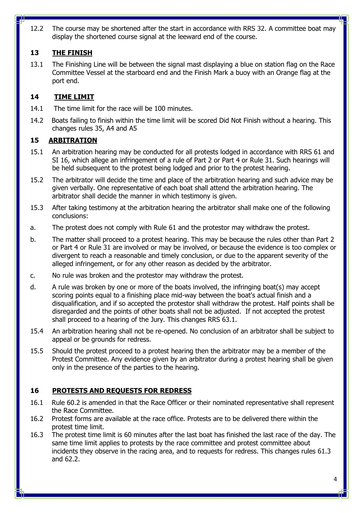12.2 The course may be shortened after the start in accordance with RRS 32. A committee boat may display the shortened course signal at the leeward end of the course.

## **13 THE FINISH**

13.1 The Finishing Line will be between the signal mast displaying a blue on station flag on the Race Committee Vessel at the starboard end and the Finish Mark a buoy with an Orange flag at the port end.

#### **14 TIME LIMIT**

- 14.1 The time limit for the race will be 100 minutes.
- 14.2 Boats failing to finish within the time limit will be scored Did Not Finish without a hearing. This changes rules 35, A4 and A5

#### **15 ARBITRATION**

- 15.1 An arbitration hearing may be conducted for all protests lodged in accordance with RRS 61 and SI 16, which allege an infringement of a rule of Part 2 or Part 4 or Rule 31. Such hearings will be held subsequent to the protest being lodged and prior to the protest hearing.
- 15.2 The arbitrator will decide the time and place of the arbitration hearing and such advice may be given verbally. One representative of each boat shall attend the arbitration hearing. The arbitrator shall decide the manner in which testimony is given.
- 15.3 After taking testimony at the arbitration hearing the arbitrator shall make one of the following conclusions:
- a. The protest does not comply with Rule 61 and the protestor may withdraw the protest.
- b. The matter shall proceed to a protest hearing. This may be because the rules other than Part 2 or Part 4 or Rule 31 are involved or may be involved, or because the evidence is too complex or divergent to reach a reasonable and timely conclusion, or due to the apparent severity of the alleged infringement, or for any other reason as decided by the arbitrator.
- c. No rule was broken and the protestor may withdraw the protest.
- d. A rule was broken by one or more of the boats involved, the infringing boat(s) may accept scoring points equal to a finishing place mid-way between the boat's actual finish and a disqualification, and if so accepted the protestor shall withdraw the protest. Half points shall be disregarded and the points of other boats shall not be adjusted. If not accepted the protest shall proceed to a hearing of the Jury. This changes RRS 63.1.
- 15.4 An arbitration hearing shall not be re-opened. No conclusion of an arbitrator shall be subject to appeal or be grounds for redress.
- 15.5 Should the protest proceed to a protest hearing then the arbitrator may be a member of the Protest Committee. Any evidence given by an arbitrator during a protest hearing shall be given only in the presence of the parties to the hearing.

# **16 PROTESTS AND REQUESTS FOR REDRESS**

- 16.1 Rule 60.2 is amended in that the Race Officer or their nominated representative shall represent the Race Committee.
- 16.2 Protest forms are available at the race office. Protests are to be delivered there within the protest time limit.
- 16.3 The protest time limit is 60 minutes after the last boat has finished the last race of the day. The same time limit applies to protests by the race committee and protest committee about incidents they observe in the racing area, and to requests for redress. This changes rules 61.3 and 62.2.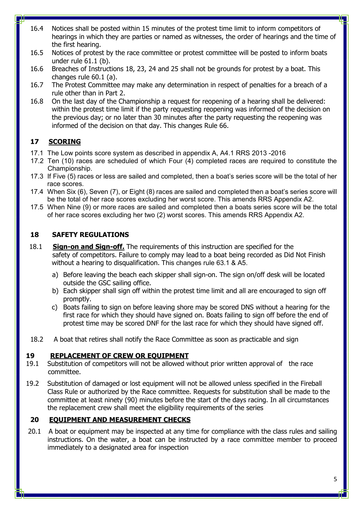- 16.4 Notices shall be posted within 15 minutes of the protest time limit to inform competitors of hearings in which they are parties or named as witnesses, the order of hearings and the time of the first hearing.
- 16.5 Notices of protest by the race committee or protest committee will be posted to inform boats under rule 61.1 (b).
- 16.6 Breaches of Instructions 18, 23, 24 and 25 shall not be grounds for protest by a boat. This changes rule 60.1 (a).
- 16.7 The Protest Committee may make any determination in respect of penalties for a breach of a rule other than in Part 2.
- 16.8 On the last day of the Championship a request for reopening of a hearing shall be delivered: within the protest time limit if the party requesting reopening was informed of the decision on the previous day; or no later than 30 minutes after the party requesting the reopening was informed of the decision on that day. This changes Rule 66.

#### **17 SCORING**

- 17.1 The Low points score system as described in appendix A, A4.1 RRS 2013 -2016
- 17.2 Ten (10) races are scheduled of which Four (4) completed races are required to constitute the Championship.
- 17.3 If Five (5) races or less are sailed and completed, then a boat's series score will be the total of her race scores.
- 17.4 When Six (6), Seven (7), or Eight (8) races are sailed and completed then a boat's series score will be the total of her race scores excluding her worst score. This amends RRS Appendix A2.
- 17.5 When Nine (9) or more races are sailed and completed then a boats series score will be the total of her race scores excluding her two (2) worst scores. This amends RRS Appendix A2.

#### **18 SAFETY REGULATIONS**

- 18.1 **Sign-on and Sign-off.** The requirements of this instruction are specified for the safety of competitors. Failure to comply may lead to a boat being recorded as Did Not Finish without a hearing to disqualification. This changes rule 63.1 & A5.
	- a) Before leaving the beach each skipper shall sign-on. The sign on/off desk will be located outside the GSC sailing office.
	- b) Each skipper shall sign off within the protest time limit and all are encouraged to sign off promptly.
	- c) Boats failing to sign on before leaving shore may be scored DNS without a hearing for the first race for which they should have signed on. Boats failing to sign off before the end of protest time may be scored DNF for the last race for which they should have signed off.
- 18.2 A boat that retires shall notify the Race Committee as soon as practicable and sign

#### **19 REPLACEMENT OF CREW OR EQUIPMENT**

- 19.1 Substitution of competitors will not be allowed without prior written approval of the race committee.
- 19.2 Substitution of damaged or lost equipment will not be allowed unless specified in the Fireball Class Rule or authorized by the Race committee. Requests for substitution shall be made to the committee at least ninety (90) minutes before the start of the days racing. In all circumstances the replacement crew shall meet the eligibility requirements of the series

#### **20 EQUIPMENT AND MEASUREMENT CHECKS**

20.1 A boat or equipment may be inspected at any time for compliance with the class rules and sailing instructions. On the water, a boat can be instructed by a race committee member to proceed immediately to a designated area for inspection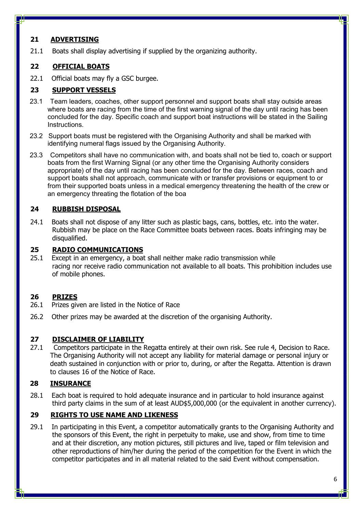#### **21 ADVERTISING**

21.1 Boats shall display advertising if supplied by the organizing authority.

#### **22 OFFICIAL BOATS**

22.1 Official boats may fly a GSC burgee.

#### **23 SUPPORT VESSELS**

- 23.1 Team leaders, coaches, other support personnel and support boats shall stay outside areas where boats are racing from the time of the first warning signal of the day until racing has been concluded for the day. Specific coach and support boat instructions will be stated in the Sailing **Instructions**
- 23.2 Support boats must be registered with the Organising Authority and shall be marked with identifying numeral flags issued by the Organising Authority.
- 23.3 Competitors shall have no communication with, and boats shall not be tied to, coach or support boats from the first Warning Signal (or any other time the Organising Authority considers appropriate) of the day until racing has been concluded for the day. Between races, coach and support boats shall not approach, communicate with or transfer provisions or equipment to or from their supported boats unless in a medical emergency threatening the health of the crew or an emergency threating the flotation of the boa

## **24 RUBBISH DISPOSAL**

24.1 Boats shall not dispose of any litter such as plastic bags, cans, bottles, etc. into the water. Rubbish may be place on the Race Committee boats between races. Boats infringing may be disqualified.

#### **25 RADIO COMMUNICATIONS**

25.1 Except in an emergency, a boat shall neither make radio transmission while racing nor receive radio communication not available to all boats. This prohibition includes use of mobile phones.

#### **26 PRIZES**

- 26.1 Prizes given are listed in the Notice of Race
- 26.2 Other prizes may be awarded at the discretion of the organising Authority.

#### **27 DISCLAIMER OF LIABILITY**

27.1 Competitors participate in the Regatta entirely at their own risk. See rule 4, Decision to Race. The Organising Authority will not accept any liability for material damage or personal injury or death sustained in conjunction with or prior to, during, or after the Regatta. Attention is drawn to clauses 16 of the Notice of Race.

# **28 INSURANCE**

28.1 Each boat is required to hold adequate insurance and in particular to hold insurance against third party claims in the sum of at least AUD\$5,000,000 (or the equivalent in another currency).

#### **29 RIGHTS TO USE NAME AND LIKENESS**

29.1 In participating in this Event, a competitor automatically grants to the Organising Authority and the sponsors of this Event, the right in perpetuity to make, use and show, from time to time and at their discretion, any motion pictures, still pictures and live, taped or film television and other reproductions of him/her during the period of the competition for the Event in which the competitor participates and in all material related to the said Event without compensation.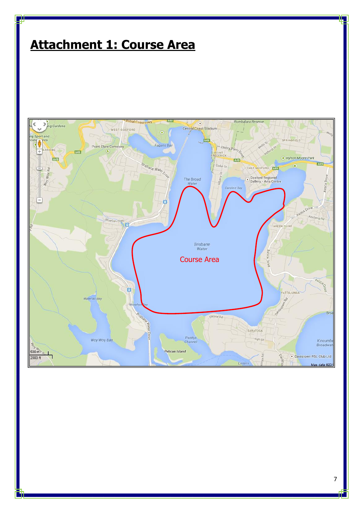# **Attachment 1: Course Area**

ш



n i b